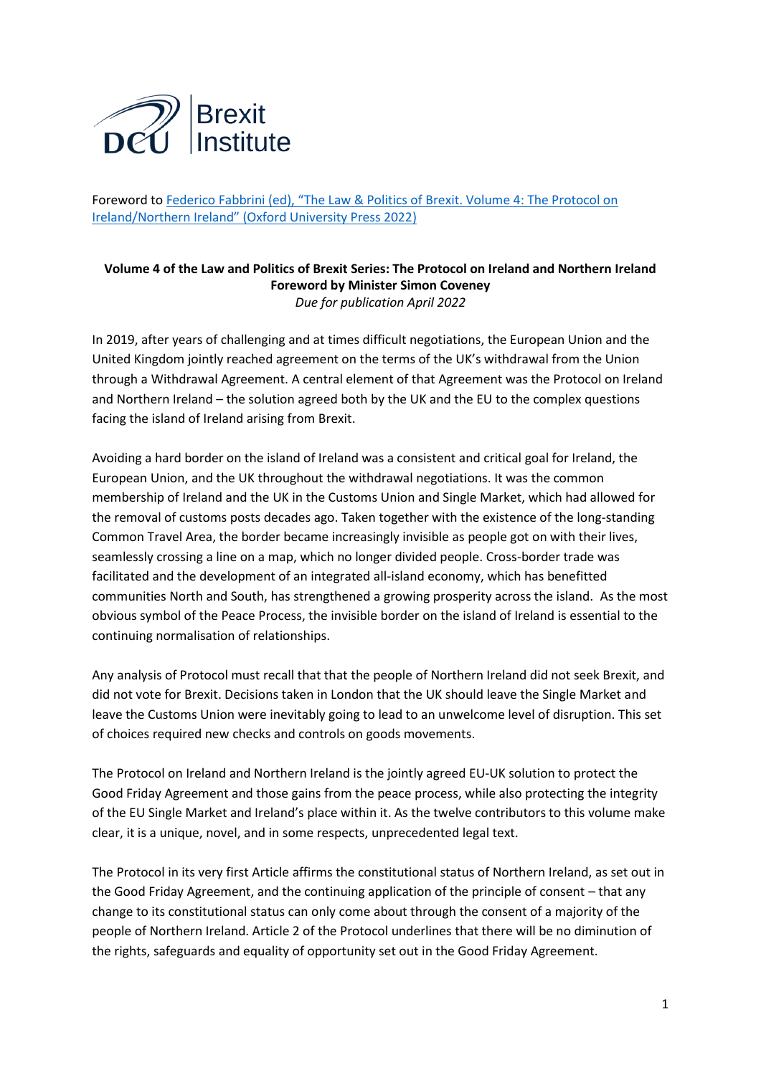

Foreword to [Federico Fabbrini \(ed\), "The Law & Politics of](https://global.oup.com/academic/product/the-law-and-politics-of-brexit-volume-iv-9780192863935?q=The%20Law%20%20Politics%20of%20Brexit&lang=en&cc=ie) Brexit. Volume 4: The Protocol on [Ireland/Northern Ireland" \(Oxford University Press 2022](https://global.oup.com/academic/product/the-law-and-politics-of-brexit-volume-iv-9780192863935?q=The%20Law%20%20Politics%20of%20Brexit&lang=en&cc=ie))

## **Volume 4 of the Law and Politics of Brexit Series: The Protocol on Ireland and Northern Ireland Foreword by Minister Simon Coveney** *Due for publication April 2022*

In 2019, after years of challenging and at times difficult negotiations, the European Union and the United Kingdom jointly reached agreement on the terms of the UK's withdrawal from the Union through a Withdrawal Agreement. A central element of that Agreement was the Protocol on Ireland and Northern Ireland – the solution agreed both by the UK and the EU to the complex questions facing the island of Ireland arising from Brexit.

Avoiding a hard border on the island of Ireland was a consistent and critical goal for Ireland, the European Union, and the UK throughout the withdrawal negotiations. It was the common membership of Ireland and the UK in the Customs Union and Single Market, which had allowed for the removal of customs posts decades ago. Taken together with the existence of the long-standing Common Travel Area, the border became increasingly invisible as people got on with their lives, seamlessly crossing a line on a map, which no longer divided people. Cross-border trade was facilitated and the development of an integrated all-island economy, which has benefitted communities North and South, has strengthened a growing prosperity across the island. As the most obvious symbol of the Peace Process, the invisible border on the island of Ireland is essential to the continuing normalisation of relationships.

Any analysis of Protocol must recall that that the people of Northern Ireland did not seek Brexit, and did not vote for Brexit. Decisions taken in London that the UK should leave the Single Market and leave the Customs Union were inevitably going to lead to an unwelcome level of disruption. This set of choices required new checks and controls on goods movements.

The Protocol on Ireland and Northern Ireland is the jointly agreed EU-UK solution to protect the Good Friday Agreement and those gains from the peace process, while also protecting the integrity of the EU Single Market and Ireland's place within it. As the twelve contributors to this volume make clear, it is a unique, novel, and in some respects, unprecedented legal text.

The Protocol in its very first Article affirms the constitutional status of Northern Ireland, as set out in the Good Friday Agreement, and the continuing application of the principle of consent – that any change to its constitutional status can only come about through the consent of a majority of the people of Northern Ireland. Article 2 of the Protocol underlines that there will be no diminution of the rights, safeguards and equality of opportunity set out in the Good Friday Agreement.